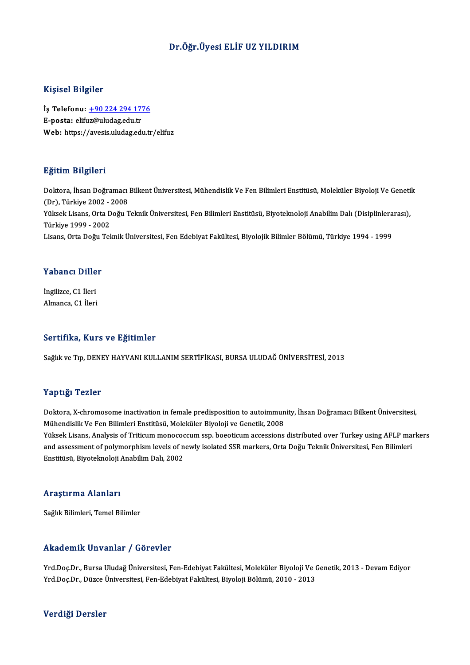#### Dr.Öğr.Üyesi ELİF UZ YILDIRIM

#### Kişisel Bilgiler

Kişisel Bilgiler<br>İş Telefonu: <u>+90 224 294 1776</u><br>E nosta: elifyz@uludas.edu.tr 11191001 Diigitet<br>İş Telefonu: <u>+90 224 294 17'</u><br>E-posta: elif[uz@uludag.edu.tr](tel:+90 224 294 1776) E-posta: elifuz@uludag.edu.tr<br>Web: https://avesis.uludag.edu.tr/elifuz

#### Eğitim Bilgileri

Doktora, İhsan Doğramacı Bilkent Üniversitesi, Mühendislik Ve Fen Bilimleri Enstitüsü, Moleküler Biyoloji Ve Genetik <u>- grenn Drigher I</u><br>Doktora, İhsan Doğramacı<br>(Dr), Türkiye 2002 - 2008<br><sup>Vülgok Lisans, Orta Doğu T</sup> Doktora, İhsan Doğramacı Bilkent Üniversitesi, Mühendislik Ve Fen Bilimleri Enstitüsü, Moleküler Biyoloji Ve Geneti<br>(Dr), Türkiye 2002 - 2008<br>Yüksek Lisans, Orta Doğu Teknik Üniversitesi, Fen Bilimleri Enstitüsü, Biyotekno (Dr), Türkiye 2002 - 2<br>Yüksek Lisans, Orta D<br>Türkiye 1999 - 2002<br>Lisans, Orta Doğu Tol Yüksek Lisans, Orta Doğu Teknik Üniversitesi, Fen Bilimleri Enstitüsü, Biyoteknoloji Anabilim Dalı (Disiplinlera<br>Türkiye 1999 - 2002<br>Lisans, Orta Doğu Teknik Üniversitesi, Fen Edebiyat Fakültesi, Biyolojik Bilimler Bölümü, Lisans, Orta Doğu Teknik Üniversitesi, Fen Edebiyat Fakültesi, Biyolojik Bilimler Bölümü, Türkiye 1994 - 1999<br>Yabancı Diller

**Yabancı Dille<br>İngilizce, C1 İleri<br>Almanca C1 İleri** Almanca, C1 İleri<br>Almanca, C1 İleri

# Almanca, C1 İleri<br>Sertifika, Kurs ve Eğitimler

Sağlık ve Tıp, DENEY HAYVANI KULLANIM SERTİFİKASI, BURSA ULUDAĞ ÜNİVERSİTESİ, 2013

#### Yaptığı Tezler

Doktora, X-chromosome inactivation in female predisposition to autoimmunity, İhsan Doğramacı Bilkent Üniversitesi, Mühendislik Ve Fen Bilimleri Enstitüsü, Moleküler Biyoloji ve Genetik, 2008 Doktora, X-chromosome inactivation in female predisposition to autoimmunity, İhsan Doğramacı Bilkent Üniversitesi,<br>Mühendislik Ve Fen Bilimleri Enstitüsü, Moleküler Biyoloji ve Genetik, 2008<br>Yüksek Lisans, Analysis of Trit Mühendislik Ve Fen Bilimleri Enstitüsü, Moleküler Biyoloji ve Genetik, 2008<br>Yüksek Lisans, Analysis of Triticum monococcum ssp. boeoticum accessions distributed over Turkey using AFLP ma<br>and assessment of polymorphism leve Yüksek Lisans, Analysis of Triticum monocoo<br>and assessment of polymorphism levels of n<br>Enstitüsü, Biyoteknoloji Anabilim Dalı, 2002 Enstitüsü, Biyoteknoloji Anabilim Dalı, 2002<br>Araştırma Alanları

Sağlık Bilimleri, Temel Bilimler

#### Akademik Unvanlar / Görevler

Akademik Unvanlar / Görevler<br>Yrd.Doç.Dr., Bursa Uludağ Üniversitesi, Fen-Edebiyat Fakültesi, Moleküler Biyoloji Ve Genetik, 2013 - Devam Ediyor<br>Yrd Dos Dr., Düzes Üniversitesi, Fen Edebiyat Fakültesi, Biyoloji Bölümü, 2010 Yrkaa SIIIII. SIIV alıkar ")" dörev isi<br>Yrd.Doç.Dr., Bursa Uludağ Üniversitesi, Fen-Edebiyat Fakültesi, Moleküler Biyoloji Ve (<br>Yrd.Doç.Dr., Düzce Üniversitesi, Fen-Edebiyat Fakültesi, Biyoloji Bölümü, 2010 - 2013 Yrd.Doç.Dr., Düzce Üniversitesi, Fen-Edebiyat Fakültesi, Biyoloji Bölümü, 2010 - 2013<br>Verdiği Dersler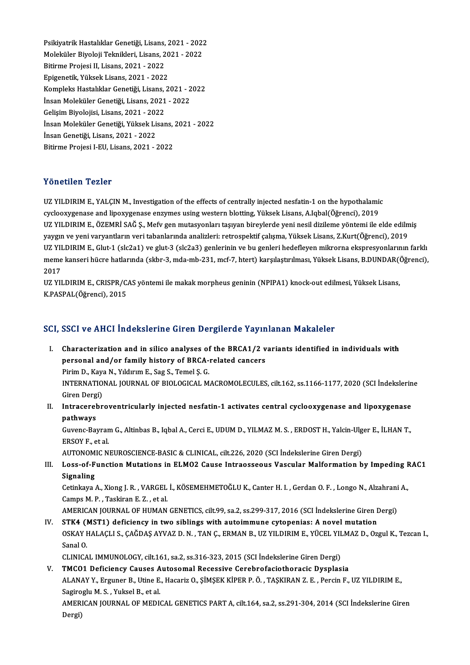Psikiyatrik Hastalıklar Genetiği, Lisans, 2021 - 2022<br>Maleküler Biyaleji Telmikleri, Lisans, 2021 - 2022 Psikiyatrik Hastalıklar Genetiği, Lisans, 2021 - 202;<br>Moleküler Biyoloji Teknikleri, Lisans, 2021 - 2022<br>Bitirme Prejesi II. Lisans, 2021, ...2022 Psikiyatrik Hastalıklar Genetiği, Lisans,<br>Moleküler Biyoloji Teknikleri, Lisans, 2<br>Bitirme Projesi II, Lisans, 2021 - 2022<br>Enisanatik Vülsak Lisans, 2021 - 2022 Moleküler Biyoloji Teknikleri, Lisans, 2021 - 2022<br>Bitirme Projesi II, Lisans, 2021 - 2022<br>Epigenetik, Yüksek Lisans, 2021 - 2022 Bitirme Projesi II, Lisans, 2021 - 2022<br>Epigenetik, Yüksek Lisans, 2021 - 2022<br>Kompleks Hastalıklar Genetiği, Lisans, 2021 - 2022<br>İnsan Moleküler Cenetiği, Lisans, 2021 - 2022 Epigenetik, Yüksek Lisans, 2021 - 2022<br>Kompleks Hastalıklar Genetiği, Lisans, 2021 - 2<br>İnsan Moleküler Genetiği, Lisans, 2021 - 2022<br>Celisim Bivolajisi, Lisans, 2021, 2022 Kompleks Hastalıklar Genetiği, Lisans,<br>İnsan Moleküler Genetiği, Lisans, 2021<br>Gelişim Biyolojisi, Lisans, 2021 - 2022<br>İnsan Moleküler Cenetiği, Yüksek Lisan İnsan Moleküler Genetiği, Lisans, 2021 - 2022<br>Gelişim Biyolojisi, Lisans, 2021 - 2022<br>İnsan Moleküler Genetiği, Yüksek Lisans, 2021 - 2022<br>İnsan Genetiği, Lisans, 2021 - 2022 Gelişim Biyolojisi, Lisans, 2021 - 2022 Bitirme Projesi I-EU, Lisans, 2021 - 2022

#### Yönetilen Tezler

Yönetilen Tezler<br>UZ YILDIRIM E., YALÇIN M., Investigation of the effects of centrally injected nesfatin-1 on the hypothalamic<br>gualogy wanness and linew generose engumes using western blotting Vülselt Lisans A Jabal(Öğrensi CHORICH TOHOR<br>CYCLOIRIM E., YALÇIN M., Investigation of the effects of centrally injected nesfatin-1 on the hypothalamic<br>Cyclooxygenase and lipoxygenase enzymes using western blotting, Yüksek Lisans, A.Iqbal(Öğrenci), 2019 cyclooxygenase and lipoxygenase enzymes using western blotting, Yüksek Lisans, A.Iqbal(Öğrenci), 2019<br>UZ YILDIRIM E., ÖZEMRİ SAĞ Ş., Mefv gen mutasyonları taşıyan bireylerde yeni nesil dizileme yöntemi ile elde edilmiş cyclooxygenase and lipoxygenase enzymes using western blotting, Yüksek Lisans, A.Iqbal(Öğrenci), 2019<br>UZ YILDIRIM E., ÖZEMRİ SAĞ Ş., Mefv gen mutasyonları taşıyan bireylerde yeni nesil dizileme yöntemi ile elde edilm<br>yaygı UZ YILDIRIM E., ÖZEMRİ SAĞ Ş., Mefv gen mutasyonları taşıyan bireylerde yeni nesil dizileme yöntemi ile elde edilmiş<br>yaygın ve yeni varyantların veri tabanlarında analizleri: retrospektif çalışma, Yüksek Lisans, Z.Kurt(Öğr yaygın ve yeni varyantların veri tabanlarında analizleri: retrospektif çalışma, Yüksek Lisans, Z.Kurt(Öğrenci), 2019<br>UZ YILDIRIM E., Glut-1 (slc2a1) ve glut-3 (slc2a3) genlerinin ve bu genleri hedefleyen mikrorna ekspresyo UZ YII<br>meme<br>2017<br>117 YII meme kanseri hücre hatlarında (skbr-3, mda-mb-231, mcf-7, htert) karşılaştırılması, Yüksek Lisans, B.DUNDAR((<br>2017<br>UZ YILDIRIM E., CRISPR/CAS yöntemi ile makak morpheus geninin (NPIPA1) knock-out edilmesi, Yüksek Lisans,<br>K

2017<br>UZ YILDIRIM E., CRISPR/CAS yöntemi ile makak morpheus geninin (NPIPA1) knock-out edilmesi, Yüksek Lisans,<br>K.PASPAL(Öğrenci), 2015

### SCI, SSCI ve AHCI İndekslerine Giren Dergilerde Yayınlanan Makaleler

- CI, SSCI ve AHCI Indekslerine Giren Dergilerde Yayınlanan Makaleler<br>I. Characterization and in silico analyses of the BRCA1/2 variants identified in individuals with<br>Personal and/or family bistory of BBCA related sansers Characterization and in silico analyses of the BRCA1/2 v<br>personal and/or family history of BRCA-related cancers<br> $P_{\text{min}}$  D,  $V_{\text{sum}}$  N, Vilduum E, Soz S, Templ S G Characterization and in silico analyses of<br>personal and/or family history of BRCA-<br>Pirim D., Kaya N., Yıldırım E., Sag S., Temel Ş. G.<br>INTERNATIONAL JOURNAL OF RIOLOGICAL M personal and/or family history of BRCA-related cancers<br>Pirim D., Kaya N., Yıldırım E., Sag S., Temel Ş. G.<br>INTERNATIONAL JOURNAL OF BIOLOGICAL MACROMOLECULES, cilt.162, ss.1166-1177, 2020 (SCI İndekslerine<br>Ciron Dergi) Pirim D., Kaya<br>INTERNATIO<br>Giren Dergi)<br>Intracarahn INTERNATIONAL JOURNAL OF BIOLOGICAL MACROMOLECULES, cilt.162, ss.1166-1177, 2020 (SCI İndekslerin<br>Giren Dergi)<br>II. Intracerebroventricularly injected nesfatin-1 activates central cyclooxygenase and lipoxygenase<br>nathways
- **Giren Derg<br>Intracerel<br>pathways<br>Guyang Pay** Intracerebroventricularly injected nesfatin-1 activates central cyclooxygenase and lipoxygenase<br>pathways<br>Guvenc-Bayram G., Altinbas B., Iqbal A., Cerci E., UDUM D., YILMAZ M. S. , ERDOST H., Yalcin-Ulger E., İLHAN T.,<br>ERSO

pathways<br>Guvenc-Bayram G., Altinbas B., Iqbal A., Cerci E., UDUM D., YILMAZ M. S. , ERDOST H., Yalcin-Ulger E., İLHAN T.,<br>ERSOY F.. et al. Guvenc-Bayram G., Altinbas B., Iqbal A., Cerci E., UDUM D., YILMAZ M. S. , ERDOST H., Yalcin-Ulg<br>ERSOY F., et al.<br>AUTONOMIC NEUROSCIENCE-BASIC & CLINICAL, cilt.226, 2020 (SCI İndekslerine Giren Dergi)<br>Loss of Eungtion Muta

III. Loss-of-Function Mutations in ELMO2 Cause Intraosseous Vascular Malformation by Impeding RAC1<br>Signaling AUTONOM<br>Loss-of-F<br>Signaling<br>Cotinkave Loss-of-Function Mutations in ELMO2 Cause Intraosseous Vascular Malformation by Impeding F<br>Signaling<br>Cetinkaya A., Xiong J. R. , VARGEL İ., KÖSEMEHMETOĞLU K., Canter H. I. , Gerdan O. F. , Longo N., Alzahrani A.,<br>Campe M.

Signaling<br>Cetinkaya A., Xiong J. R. , VARGEL<br>Camps M. P. , Taskiran E. Z. , et al.<br>AMERICAN JOUPNAL OF HUMAN Cetinkaya A., Xiong J. R. , VARGEL İ., KÖSEMEHMETOĞLU K., Canter H. I. , Gerdan O. F. , Longo N., Alzahrani<br>Camps M. P. , Taskiran E. Z. , et al.<br>AMERICAN JOURNAL OF HUMAN GENETICS, cilt.99, sa.2, ss.299-317, 2016 (SCI İnd

Camps M. P., Taskiran E. Z., et al.<br>AMERICAN JOURNAL OF HUMAN GENETICS, cilt.99, sa.2, ss.299-317, 2016 (SCI İndekslerine Giren I<br>IV. STK4 (MST1) deficiency in two siblings with autoimmune cytopenias: A novel mutation<br>OSKA AMERICAN JOURNAL OF HUMAN GENETICS, cilt.99, sa.2, ss.299-317, 2016 (SCI İndekslerine Giren Dergi)<br>STK4 (MST1) deficiency in two siblings with autoimmune cytopenias: A novel mutation<br>OSKAY HALAÇLI S., ÇAĞDAŞ AYVAZ D. N. , IV. STK4 (MST1) deficiency in two siblings with autoimmune cytopenias: A novel mutation<br>OSKAY HALAÇLI S., ÇAĞDAŞ AYVAZ D. N., TAN Ç., ERMAN B., UZ YILDIRIM E., YÜCEL YILMAZ D., Ozgul K., Tezcan I.,<br>Sanal O.

CLINICAL IMMUNOLOGY, cilt.161, sa.2, ss.316-323,2015 (SCI İndekslerineGirenDergi)

## Sanal O.<br>CLINICAL IMMUNOLOGY, cilt.161, sa.2, ss.316-323, 2015 (SCI Indekslerine Giren Dergi)<br>V. TMCO1 Deficiency Causes Autosomal Recessive Cerebrofaciothoracic Dysplasia CLINICAL IMMUNOLOGY, cilt.161, sa.2, ss.316-323, 2015 (SCI İndekslerine Giren Dergi)<br>TMCO1 Deficiency Causes Autosomal Recessive Cerebrofaciothoracic Dysplasia<br>ALANAY Y., Erguner B., Utine E., Hacariz O., ŞİMŞEK KİPER P. Ö TMC01 Deficiency Causes A<br>ALANAY Y., Erguner B., Utine E.<br>Sagiroglu M. S. , Yuksel B., et al.<br>AMERICAN JOURNAL OF MEDIC ALANAY Y., Erguner B., Utine E., Hacariz O., ŞİMŞEK KİPER P. Ö. , TAŞKIRAN Z. E. , Percin F., UZ YILDIRIM E.,<br>Sagiroglu M. S. , Yuksel B., et al.<br>AMERICAN JOURNAL OF MEDICAL GENETICS PART A, cilt.164, sa.2, ss.291-304, 201 Sagiroglu M. S. , Yuksel B., et al.<br>AMERICAN JOURNAL OF MEDICAL GENETICS PART A, cilt.164, sa.2, ss.291-304, 2014 (SCI İndekslerine Giren<br>Dergi)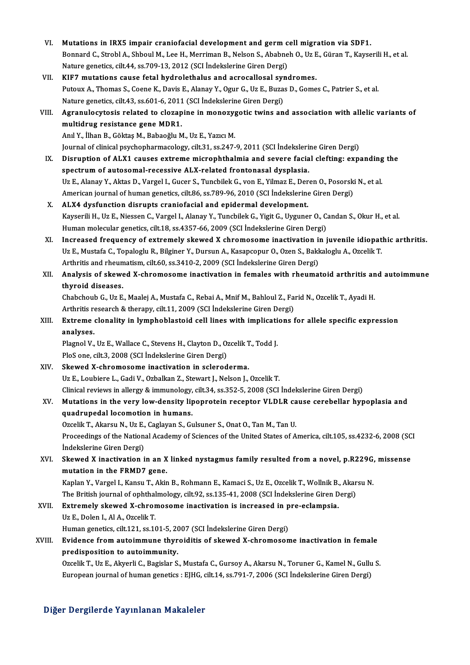VI. Mutations in IRX5 impair craniofacial development and germ cell migration via SDF1.<br>Pennard G. Strebl A. Shhoul M. Lee H. Menuman B. Neken S. Abebneb O. Ug E. Günen T. Veyse Bonnard C., Strobl A., Shboul M., Lee H., Merriman B., Nelson S., Ababneh O., Uz E., Güran T., Kayserili H., et al.<br>Nature genetics, cilt.44, ss.709-13, 2012 (SCI İndekslerine Giren Dergi) Mutations in IRX5 impair craniofacial development and germ c<br>Bonnard C., Strobl A., Shboul M., Lee H., Merriman B., Nelson S., Ababne<br>Nature genetics, cilt.44, ss.709-13, 2012 (SCI İndekslerine Giren Dergi)<br>KIE7 mutations VII. KIF7 mutations cause fetal hydrolethalus and acrocallosal syndromes. Nature genetics, cilt.44, ss.709-13, 2012 (SCI İndekslerine Giren Dergi)<br>KIF7 mutations cause fetal hydrolethalus and acrocallosal syndromes.<br>Putoux A., Thomas S., Coene K., Davis E., Alanay Y., Ogur G., Uz E., Buzas D., G KIF7 mutations cause fetal hydrolethalus and acrocallosal syn<br>Putoux A., Thomas S., Coene K., Davis E., Alanay Y., Ogur G., Uz E., Buza:<br>Nature genetics, cilt.43, ss.601-6, 2011 (SCI İndekslerine Giren Dergi)<br>Agrapule syte Putoux A., Thomas S., Coene K., Davis E., Alanay Y., Ogur G., Uz E., Buzas D., Gomes C., Patrier S., et al.<br>Nature genetics, cilt.43, ss.601-6, 2011 (SCI Indekslerine Giren Dergi)<br>VIII. Agranulocytosis related to clozapine Nature genetics, cilt.43, ss.601-6, 2011<br>Agranulocytosis related to clozap<br>multidrug resistance gene MDR1.<br>And V. <sup>ilhon B.</sup> Göltas M. Pobacălu M Agranulocytosis related to clozapine in monozyg<br>multidrug resistance gene MDR1.<br>Anıl Y., İlhan B., Göktaş M., Babaoğlu M., Uz E., Yazıcı M.<br>Journal of clinical psychopharmasologu silt 31, 93,247. multidrug resistance gene MDR1.<br>Anıl Y., İlhan B., Göktaş M., Babaoğlu M., Uz E., Yazıcı M.<br>Journal of clinical psychopharmacology, cilt.31, ss.247-9, 2011 (SCI İndekslerine Giren Dergi)<br>Disruntion of AJ Y1 sauses aytrama Anıl Y., İlhan B., Göktaş M., Babaoğlu M., Uz E., Yazıcı M.<br>Journal of clinical psychopharmacology, cilt.3.1, ss.247-9, 2011 (SCI İndekslerine Giren Dergi)<br>IX. Disruption of ALX1 causes extreme microphthalmia and sever Journal of clinical psychopharmacology, cilt.31, ss.247-9, 2011 (SCI İndeksleri:<br>Disruption of ALX1 causes extreme microphthalmia and severe facia<br>spectrum of autosomal-recessive ALX-related frontonasal dysplasia.<br>UnE Alan Uz E., Alanay Y., Aktas D., Vargel I., Gucer S., Tuncbilek G., von E., Yilmaz E., Deren O., Posorski N., et al. spectrum of autosomal-recessive ALX-related frontonasal dysplasia.<br>Uz E., Alanay Y., Aktas D., Vargel I., Gucer S., Tuncbilek G., von E., Yilmaz E., Deren O., Posorski<br>American journal of human genetics, cilt.86, ss.789-96 Uz E., Alanay Y., Aktas D., Vargel I., Gucer S., Tuncbilek G., von E., Yilmaz E., Der<br>American journal of human genetics, cilt.86, ss.789-96, 2010 (SCI İndekslerine<br>X. ALX4 dysfunction disrupts craniofacial and epidermal d American journal of human genetics, cilt.86, ss.789-96, 2010 (SCI İndekslerine Giren Dergi)<br>ALX4 dysfunction disrupts craniofacial and epidermal development.<br>Kayserili H., Uz E., Niessen C., Vargel I., Alanay Y., Tuncbilek ALX4 dysfunction disrupts craniofacial and epidermal development.<br>Kayserili H., Uz E., Niessen C., Vargel I., Alanay Y., Tuncbilek G., Yigit G., Uyguner O., C.<br>Human molecular genetics, cilt.18, ss.4357-66, 2009 (SCI İndek Kayserili H., Uz E., Niessen C., Vargel I., Alanay Y., Tuncbilek G., Yigit G., Uyguner O., Candan S., Okur H., et al.<br>Human molecular genetics, cilt.18, ss.4357-66, 2009 (SCI İndekslerine Giren Dergi)<br>XI. Increased frequen Human molecular genetics, cilt.18, ss.4357-66, 2009 (SCI İndekslerine Giren Dergi)<br>Increased frequency of extremely skewed X chromosome inactivation in juvenile idiopat<br>Uz E., Mustafa C., Topaloglu R., Bilginer Y., Dursun Increased frequency of extremely skewed X chromosome inactivation in<br>Uz E., Mustafa C., Topaloglu R., Bilginer Y., Dursun A., Kasapcopur O., Ozen S., Bakk<br>Arthritis and rheumatism, cilt.60, ss.3410-2, 2009 (SCI İndekslerin XII. Analysis of skewed X-chromosome inactivation in females with rheumatoid arthritis and autoimmune thyroid diseases. Arthritis and rheumatism, cilt.60, ss.3410-2, 2009 (SCI İndekslerine Giren Dergi) Analysis of skewed X-chromosome inactivation in females with rheumatoid arthritis an<br>thyroid diseases.<br>Chabchoub G., Uz E., Maalej A., Mustafa C., Rebai A., Mnif M., Bahloul Z., Farid N., Ozcelik T., Ayadi H.<br>Arthritis res thyroid diseases.<br>Chabchoub G., Uz E., Maalej A., Mustafa C., Rebai A., Mnif M., Bahloul Z., Far<br>Arthritis research & therapy, cilt.11, 2009 (SCI İndekslerine Giren Dergi)<br>Extreme slanality in lymphablastaid sell lines wit Chabchoub G., Uz E., Maalej A., Mustafa C., Rebai A., Mnif M., Bahloul Z., Farid N., Ozcelik T., Ayadi H.<br>Arthritis research & therapy, cilt.11, 2009 (SCI İndekslerine Giren Dergi)<br>XIII. Extreme clonality in lymphoblastoid Arthritis research & therapy, cilt.11, 2009 (SCI Indekslerine Giren Dergi)<br>Extreme clonality in lymphoblastoid cell lines with implications :<br>analyses. Extreme clonality in lymphoblastoid cell lines with implicati<br>analyses.<br>Plagnol V., Uz E., Wallace C., Stevens H., Clayton D., Ozcelik T., Todd J.<br>PlaS ana cilt 2, 2008 (SCL Indeksloping Ciron Dargi) Plagnol V., Uz E., Wallace C., Stevens H., Clayton D., Ozcelik T., Todd J.<br>PloS one, cilt.3, 2008 (SCI İndekslerine Giren Dergi) XIV. Skewed X-chromosome inactivation in scleroderma. Uz E., Loubiere L., Gadi V., Ozbalkan Z., Stewart J., Nelson J., Ozcelik T. Clinical reviews inalergy&immunology, cilt.34, ss.352-5,2008 (SCI İndekslerineGirenDergi) Uz E., Loubiere L., Gadi V., Ozbalkan Z., Stewart J., Nelson J., Ozcelik T.<br>Clinical reviews in allergy & immunology, cilt.34, ss.352-5, 2008 (SCI Indekslerine Giren Dergi)<br>XV. Mutations in the very low-density lipoprotein Clinical reviews in allergy & immunology,<br>Mutations in the very low-density lip<br>quadrupedal locomotion in humans.<br>Orgalik T. Altareu N. Hr E. Coglaven S. G. Mutations in the very low-density lipoprotein receptor VLDLR ca<br>quadrupedal locomotion in humans.<br>Ozcelik T., Akarsu N., Uz E., Caglayan S., Gulsuner S., Onat O., Tan M., Tan U.<br>Preseedings of the National Agademy of Scien quadrupedal locomotion in humans.<br>Ozcelik T., Akarsu N., Uz E., Caglayan S., Gulsuner S., Onat O., Tan M., Tan U.<br>Proceedings of the National Academy of Sciences of the United States of America, cilt.105, ss.4232-6, 2008 ( Ozcelik T., Akarsu N., Uz E.,<br>Proceedings of the Nation:<br>İndekslerine Giren Dergi)<br>Skawed X inastivation i Proceedings of the National Academy of Sciences of the United States of America, cilt.105, ss.4232-6, 2008 (SC<br>Indekslerine Giren Dergi)<br>XVI. Skewed X inactivation in an X linked nystagmus family resulted from a novel, p.R Indekslerine Giren Dergi)<br>Skewed X inactivation in an X<br>mutation in the FRMD7 gene. Skewed X inactivation in an X linked nystagmus family resulted from a novel, p.R229G,<br>mutation in the FRMD7 gene.<br>Kaplan Y., Vargel I., Kansu T., Akin B., Rohmann E., Kamaci S., Uz E., Ozcelik T., Wollnik B., Akarsu N.<br>The Kaplan Y., Vargel I., Kansu T., Akin B., Rohmann E., Kamaci S., Uz E., Ozcelik T., Wollnik B., Akarsu N.<br>The British journal of ophthalmology, cilt.92, ss.135-41, 2008 (SCI İndekslerine Giren Dergi) Kaplan Y., Vargel I., Kansu T., Akin B., Rohmann E., Kamaci S., Uz E., Ozcelik T., Wollnik B.<br>The British journal of ophthalmology, cilt.92, ss.135-41, 2008 (SCI Indekslerine Giren D<br>XVII. Extremely skewed X-chromosome ina The British journal of ophthal<br>Extremely skewed X-chror<br>Uz E., Dolen I., Al A., Ozcelik T.<br>Human genetics, silt 121, se 16 Extremely skewed X-chromosome inactivation is increased in p<br>Uz E., Dolen I., Al A., Ozcelik T.<br>Human genetics, cilt.121, ss.101-5, 2007 (SCI İndekslerine Giren Dergi)<br>Fuidanea from autoimmuna thuraiditis of skawed X shrom Uz E., Dolen I., Al A., Ozcelik T.<br>Human genetics, cilt.121, ss.101-5, 2007 (SCI Indekslerine Giren Dergi)<br>XVIII. Evidence from autoimmune thyroiditis of skewed X-chromosome inactivation in female<br>predisposition to autoimm Human genetics, cilt.121, ss.101-5, 2007 (SCI İndekslerine Giren Dergi) Evidence from autoimmune thyroiditis of skewed X-chromosome inactivation in female<br>predisposition to autoimmunity.<br>Ozcelik T., Uz E., Akyerli C., Bagislar S., Mustafa C., Gursoy A., Akarsu N., Toruner G., Kamel N., Gullu S predisposition to autoimmunity.<br>Ozcelik T., Uz E., Akyerli C., Bagislar S., Mustafa C., Gursoy A., Akarsu N., Toruner G., Kamel N., Gullu<br>European journal of human genetics : EJHG, cilt.14, ss.791-7, 2006 (SCI İndekslerine European journal of human genetics : EJHG, cilt.14, ss.791-7, 2006 (SCI İndekslerine Giren Dergi)<br>Diğer Dergilerde Yayınlanan Makaleler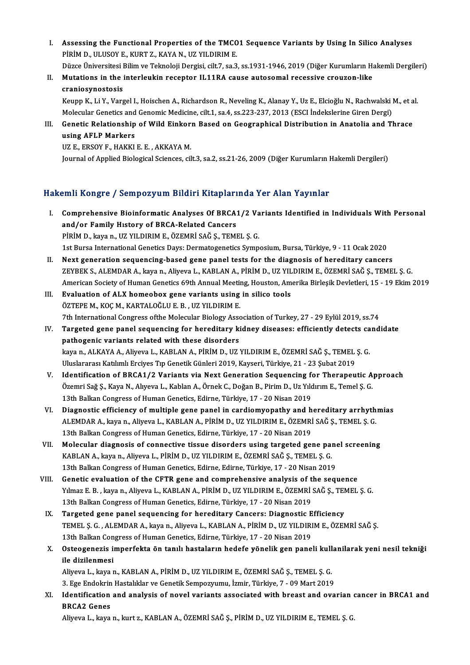I. Assessing the Functional Properties of the TMCO1 Sequence Variants by Using In Silico Analyses Assessing the Functional Properties of the TMCO<br>PİRİM D., ULUSOY E., KURT Z., KAYA N., UZ YILDIRIM E.<br>Dürge Üniversitesi Bilim ve Telmoleji Dergisi, silt 7, 22, 3 Assessing the Functional Properties of the TMC01 Sequence Variants by Using In Silico Analyses<br>PİRİM D., ULUSOY E., KURT Z., KAYA N., UZ YILDIRIM E.<br>Düzce Üniversitesi Bilim ve Teknoloji Dergisi, cilt.7, sa.3, ss.1931-1946

Düzce Üniversitesi Bilim ve Teknoloji Dergisi, cilt.7, sa.3, ss.1931-1946, 2019 (Diğer Kurumların Hakemli Dergileri)

PIRIM D., ULUSOY E., KURT Z., KAYA N., UZ YILDIRIM E.<br>Düzce Üniversitesi Bilim ve Teknoloji Dergisi, cilt.7, sa.3, ss.1931-1946, 2019 (Diğer Kurumların H<br>II. Mutations in the interleukin receptor IL11RA cause autosomal rec Mutations in the interleukin receptor IL11RA cause autosomal recessive crouzon-like<br>craniosynostosis<br>Keupp K., Li Y., Vargel I., Hoischen A., Richardson R., Neveling K., Alanay Y., Uz E., Elcioğlu N., Rachwalski M., et al.

craniosynostosis<br>Keupp K., Li Y., Vargel I., Hoischen A., Richardson R., Neveling K., Alanay Y., Uz E., Elcioğlu N., Rachwalski<br>Molecular Genetics and Genomic Medicine, cilt.1, sa.4, ss.223-237, 2013 (ESCI İndekslerine Gir Keupp K., Li Y., Vargel I., Hoischen A., Richardson R., Neveling K., Alanay Y., Uz E., Elcioğlu N., Rachwalski M., et a<br>Molecular Genetics and Genomic Medicine, cilt.1, sa.4, ss.223-237, 2013 (ESCI İndekslerine Giren Dergi

Molecular Genetics and Genomic Medicine, cilt.1, sa.4, ss.223-237, 2013 (ESCI Indekslerine Giren Dergi)<br>Genetic Relationship of Wild Einkorn Based on Geographical Distribution in Anatolia and T<br>using AFLP Markers<br>UZ E., ER Genetic Relationship of Wild Einkor:<br>using AFLP Markers<br>UZ E., ERSOY F., HAKKI E. E. , AKKAYA M.<br>Journal of Applied Biological Sciences, cil

Journal of Applied Biological Sciences, cilt.3, sa.2, ss.21-26, 2009 (Diğer Kurumların Hakemli Dergileri)

## Hakemli Kongre / Sempozyum Bildiri Kitaplarında Yer Alan Yayınlar

- akemli Kongre / Sempozyum Bildiri Kitaplarında Yer Alan Yayınlar<br>I. Comprehensive Bioinformatic Analyses Of BRCA1/2 Variants Identified in Individuals With Personal EXAM ASSAS C / SUMPULY AND DIAMA AREAPARTY<br>Comprehensive Bioinformatic Analyses Of BRCA:<br>and/or Family History of BRCA-Related Cancers<br>Pipim D. Jrave P. JJ7 VII DIPIM E. ÖZEMPİ SAĞ S. TEMI Comprehensive Bioinformatic Analyses Of BRCA1/2 Va<br>and/or Family History of BRCA-Related Cancers<br>PİRİM D., kaya n., UZ YILDIRIM E., ÖZEMRİ SAĞ Ş., TEMEL Ş. G.<br>1st Burga International Cenatics Devey Dermategenetics Sumn and/or Family History of BRCA-Related Cancers<br>PİRİM D., kaya n., UZ YILDIRIM E., ÖZEMRİ SAĞ Ş., TEMEL Ş. G.<br>1st Bursa International Genetics Days: Dermatogenetics Symposium, Bursa, Türkiye, 9 - 11 Ocak 2020
- II. Next generation sequencing-based gene panel tests for the diagnosis of hereditary cancers ZEYBEKS.,ALEMDARA.,kayan.,Aliyeva L.,KABLANA.,PİRİMD.,UZ YILDIRIME.,ÖZEMRİ SAĞŞ.,TEMEL Ş.G. American Society of Human Genetics 69th Annual Meeting, Houston, Amerika Birleşik Devletleri, 15 - 19 Ekim 2019 ZEYBEK S., ALEMDAR A., kaya n., Aliyeva L., KABLAN A., PİRİM D., UZ YIL<br>American Society of Human Genetics 69th Annual Meeting, Houston, Am<br>III. Evaluation of ALX homeobox gene variants using in silico tools<br>ÖZTEPE M. KOC
- American Society of Human Genetics 69th Annual Meetin<br>**Evaluation of ALX homeobox gene variants using**<br>ÖZTEPE M., KOÇ M., KARTALOĞLU E. B. , UZ YILDIRIM E. ÖZTEPE M., KOÇ M., KARTALOĞLU E. B. , UZ YILDIRIM E.<br>7th International Congress ofthe Molecular Biology Association of Turkey, 27 - 29 Eylül 2019, ss.74 ÖZTEPE M., KOÇ M., KARTALOĞLU E. B. , UZ YILDIRIM E.<br>7th International Congress ofthe Molecular Biology Association of Turkey, 27 - 29 Eylül 2019, ss.74<br>IV. Targeted gene panel sequencing for hereditary kidney diseases
- pathogenic variants related with these disorders Targeted gene panel sequencing for hereditary kidney diseases: efficiently detects ca<br>pathogenic variants related with these disorders<br>kaya n., ALKAYA A., Aliyeva L., KABLAN A., PİRİM D., UZ YILDIRIM E., ÖZEMRİ SAĞ Ş., TEM kaya n., ALKAYA A., Aliyeva L., KABLAN A., PİRİM D., UZ YILDIRIM E., ÖZEMRİ SAĞ Ş., TEMEL Ş. G.<br>Uluslararası Katılımlı Erciyes Tıp Genetik Günleri 2019, Kayseri, Türkiye, 21 - 23 Şubat 2019 kaya n., ALKAYA A., Aliyeva L., KABLAN A., PİRİM D., UZ YILDIRIM E., ÖZEMRİ SAĞ Ş., TEMEL Ş. G.<br>Uluslararası Katılımlı Erciyes Tıp Genetik Günleri 2019, Kayseri, Türkiye, 21 - 23 Şubat 2019<br>V. Identification of BRCA1/2 Var
- Uluslararası Katılımlı Erciyes Tıp Genetik Günleri 2019, Kayseri, Türkiye, 21 23 Şubat 2019<br>Identification of BRCA1/2 Variants via Next Generation Sequencing for Therapeutic A<br>Özemri Sağ Ş., Kaya N., Alıyeva L., Kablan A Identification of BRCA1/2 Variants via Next Generation Sequencing f<br>Özemri Sağ Ş., Kaya N., Alıyeva L., Kablan A., Örnek C., Doğan B., Pirim D., Uz Yıld<br>13th Balkan Congress of Human Genetics, Edirne, Türkiye, 17 - 20 Nisa Özemri Sağ Ş., Kaya N., Alıyeva L., Kablan A., Örnek C., Doğan B., Pirim D., Uz Yıldırım E., Temel Ş. G.<br>13th Balkan Congress of Human Genetics, Edirne, Türkiye, 17 - 20 Nisan 2019<br>13th Balkan Congress of Human Genetics, E
- ALEMDARA.,kayan.,Aliyeva L.,KABLANA.,PİRİMD.,UZ YILDIRIME.,ÖZEMRİ SAĞŞ.,TEMEL Ş.G. 13th Balkan Congress of Human Genetics, Edirne, Türkiye, 17 - 20 Nisan 2019 ALEMDAR A., kaya n., Aliyeva L., KABLAN A., PİRİM D., UZ YILDIRIM E., ÖZEMRİ SAĞ Ş., TEMEL Ş. G.<br>13th Balkan Congress of Human Genetics, Edirne, Türkiye, 17 - 20 Nisan 2019<br>VII. Molecular diagnosis of connective tissue dis
- 13th Balkan Congress of Human Genetics, Edirne, Türkiye, 17 20 Nisan 2019<br>Molecular diagnosis of connective tissue disorders using targeted gene pai<br>KABLAN A., kaya n., Aliyeva L., PİRİM D., UZ YILDIRIM E., ÖZEMRİ SAĞ Ş. Molecular diagnosis of connective tissue disorders using targeted gene pane<br>KABLAN A., kaya n., Aliyeva L., PİRİM D., UZ YILDIRIM E., ÖZEMRİ SAĞ Ş., TEMEL Ş. G.<br>13th Balkan Congress of Human Genetics, Edirne, Edirne, Türki KABLAN A., kaya n., Aliyeva L., PİRİM D., UZ YILDIRIM E., ÖZEMRİ SAĞ Ş., TEMEL Ş. G.<br>13th Balkan Congress of Human Genetics, Edirne, Edirne, Türkiye, 17 - 20 Nisan 2019<br>VIII. Genetic evaluation of the CFTR gene and compreh
- 13th Balkan Congress of Human Genetics, Edirne, Edirne, Türkiye, 17 20 Nisan 2019<br>Genetic evaluation of the CFTR gene and comprehensive analysis of the sequence<br>Yılmaz E. B. , kaya n., Aliyeva L., KABLAN A., PİRİM D., UZ Genetic evaluation of the CFTR gene and comprehensive analysis of t<br>13th Balkan Congress of Human Genetics, Edirne, Türkiye, 17 - 20 Nisan 2019<br>Targeted gane panal sequencing for beneditary Cancers: Diagnestic E Yılmaz E. B., kaya n., Aliyeva L., KABLAN A., PİRİM D., UZ YILDIRIM E., ÖZEMRİ SAĞ Ş., TEM<br>13th Balkan Congress of Human Genetics, Edirne, Türkiye, 17 - 20 Nisan 2019<br>IX. Targeted gene panel sequencing for hereditary Cance
- 13th Balkan Congress of Human Genetics, Edirne, Türkiye, 17 20 Nisan 2019<br>Targeted gene panel sequencing for hereditary Cancers: Diagnostic Efficiency<br>TEMEL Ş. G. , ALEMDAR A., kaya n., Aliyeva L., KABLAN A., PİRİM D., U Targeted gene panel sequencing for hereditary Cancers: Diagnostic Efficiency TEMEL Ş. G. , ALEMDAR A., kaya n., Aliyeva L., KABLAN A., PİRİM D., UZ YILDIRIM E., ÖZEMRİ SAĞ Ş.<br>13th Balkan Congress of Human Genetics, Edirne, Türkiye, 17 - 20 Nisan 2019<br>X. Osteogenezis imperfekta ön tanılı hastaların

## 13th Balkan Con<br>Osteogenezis in<br>ile dizilenmesi<br>Aliyoya Lakaya y Osteogenezis imperfekta ön tanılı hastaların hedefe yönelik gen paneli kull<br>ile dizilenmesi<br>Aliyeva L., kaya n., KABLAN A., PİRİM D., UZ YILDIRIM E., ÖZEMRİ SAĞ Ş., TEMEL Ş. G.<br>2. Ege Endelmin Hestelliker ve Cenetik Semneg

ile dizilenmesi<br>Aliyeva L., kaya n., KABLAN A., PİRİM D., UZ YILDIRIM E., ÖZEMRİ SAĞ Ş., TEMEL Ş. G.<br>3. Ege Endokrin Hastalıklar ve Genetik Sempozyumu, İzmir, Türkiye, 7 - 09 Mart 2019

Aliyeva L., kaya n., KABLAN A., PİRİM D., UZ YILDIRIM E., ÖZEMRİ SAĞ Ş., TEMEL Ş. G.<br>3. Ege Endokrin Hastalıklar ve Genetik Sempozyumu, İzmir, Türkiye, 7 - 09 Mart 2019<br>XI. Identification and analysis of novel variants ass **3. Ege Endokrin<br>Identification<br>BRCA2 Genes**<br>Alivaya L. kaya Identification and analysis of novel variants associated with breast and ovarian (<br>BRCA2 Genes<br>Aliyeva L., kaya n., kurt z., KABLAN A., ÖZEMRİ SAĞ Ş., PİRİM D., UZ YILDIRIM E., TEMEL Ş. G.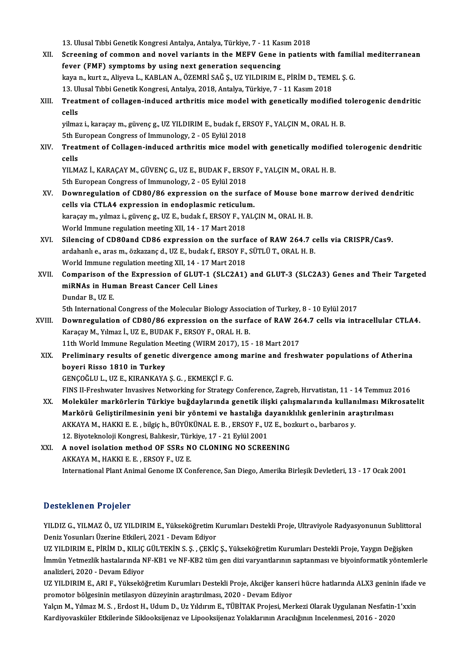13. Ulusal Tıbbi Genetik Kongresi Antalya, Antalya, Türkiye, 7 - 11 Kasım 2018<br>Saneaning of samman and novel varianta in the MEEV Cane in nationi XII. Screening of common and novel variants in the MEFV Gene in patients with familial mediterranean<br>fever (FMF) symptoms by using next generation sequencing 13. Ulusal Tibbi Genetik Kongresi Antalya, Antalya, Türkiye, 7 - 11 Kas<br>Screening of common and novel variants in the MEFV Gene in<br>fever (FMF) symptoms by using next generation sequencing<br>love nalput 5. Aliveral LKABLAN A Screening of common and novel variants in the MEFV Gene in patients with famil<br>fever (FMF) symptoms by using next generation sequencing<br>kaya n., kurt z., Aliyeva L., KABLAN A., ÖZEMRİ SAĞ Ş., UZ YILDIRIM E., PİRİM D., TEME fever (FMF) symptoms by using next generation sequencing<br>kaya n., kurt z., Aliyeva L., KABLAN A., ÖZEMRİ SAĞ Ş., UZ YILDIRIM E., PİRİM D., TEMI<br>13. Ulusal Tıbbi Genetik Kongresi, Antalya, 2018, Antalya, Türkiye, 7 - 11 Kas kaya n., kurt z., Aliyeva L., KABLAN A., ÖZEMRİ SAĞ Ş., UZ YILDIRIM E., PİRİM D., TEMEL Ş. G.<br>13. Ulusal Tıbbi Genetik Kongresi, Antalya, 2018, Antalya, Türkiye, 7 - 11 Kasım 2018<br>XIII. Treatment of collagen-induced ar 13. Ulusal Tıbbi Genetik Kongresi, Antalya, 2018, Antalya, Türkiye, 7 - 11 Kasım 2018<br>Treatment of collagen-induced arthritis mice model with genetically modif<br>cells Treatment of collagen-induced arthritis mice model with genetically modified t<br>cells<br>yilmaz i., karaçay m., güvenç g., UZ YILDIRIM E., budak f., ERSOY F., YALÇIN M., ORAL H. B.<br>Eth Euroneen Congress of Immunelegy, 2, OE Ey yilmaz i., karaçay m., güvenç g., UZ YILDIRIM E., budak f., ERSOY F., YALÇIN M., ORAL H. B.<br>5th European Congress of Immunology, 2 - 05 Eylül 2018 yilmaz i., karaçay m., güvenç g., UZ YILDIRIM E., budak f., ERSOY F., YALÇIN M., ORAL H. B.<br>5th European Congress of Immunology, 2 - 05 Eylül 2018<br>XIV. Treatment of Collagen-induced arthritis mice model with geneticall 5th Et<br>Treat<br>cells<br><sup>VII M</sup> Treatment of Collagen-induced arthritis mice model with genetically modifie<br>cells<br>YILMAZ İ., KARAÇAY M., GÜVENÇ G., UZ E., BUDAK F., ERSOY F., YALÇIN M., ORAL H. B.<br>Eth Euroneen Congrees of Immunelegy, 2., OE Eylül 2019. cells<br>YILMAZ İ., KARAÇAY M., GÜVENÇ G., UZ E., BUDAK F., ERSOY F., YALÇIN M., ORAL H. B.<br>5th European Congress of Immunology, 2 - 05 Eylül 2018 YILMAZ İ., KARAÇAY M., GÜVENÇ G., UZ E., BUDAK F., ERSOY F., YALÇIN M., ORAL H. B.<br>5th European Congress of Immunology, 2 - 05 Eylül 2018<br>XV. Downregulation of CD80/86 expression on the surface of Mouse bone marrow der 5th European Congress of Immunology, 2 - 05 Eylül 2018<br>Downregulation of CD80/86 expression on the surfacells via CTLA4 expression in endoplasmic reticulum.<br>Jerosey m. vilmes i. süvenes JIZ E. budak f. ERSOV E. VAL Downregulation of CD80/86 expression on the surface of Mouse bon<br>cells via CTLA4 expression in endoplasmic reticulum.<br>karaçay m., yılmaz i., güvenç g., UZ E., budak f., ERSOY F., YALÇIN M., ORAL H. B.<br>World Immune regulati cells via CTLA4 expression in endoplasmic reticulum.<br>karaçay m., yılmaz i., güvenç g., UZ E., budak f., ERSOY F., YALÇIN M., ORAL H. B.<br>World Immune regulation meeting XII, 14 - 17 Mart 2018 karaçay m., yılmaz i., güvenç g., UZ E., budak f., ERSOY F., YALÇIN M., ORAL H. B.<br>World Immune regulation meeting XII, 14 - 17 Mart 2018<br>XVI. Silencing of CD80and CD86 expression on the surface of RAW 264.7 cells via CRIS World Immune regulation meeting XII, 14 - 17 Mart 2018<br>Silencing of CD80and CD86 expression on the surface of RAW 264.7 c<br>ardahanlı e., aras m., özkazanç d., UZ E., budak f., ERSOY F., SÜTLÜ T., ORAL H. B.<br>World Immune reg Silencing of CD80and CD86 expression on the surfa<br>ardahanlı e., aras m., özkazanç d., UZ E., budak f., ERSOY F.,<br>World Immune regulation meeting XII, 14 - 17 Mart 2018<br>Comparison of the Eunression of CLUT 1 (SLC3A1) ardahanlı e., aras m., özkazanç d., UZ E., budak f., ERSOY F., SÜTLÜ T., ORAL H. B.<br>World Immune regulation meeting XII, 14 - 17 Mart 2018<br>XVII. Comparison of the Expression of GLUT-1 (SLC2A1) and GLUT-3 (SLC2A3) Genes and World Immune regulation meeting XII, 14 - 17 Ma<br>Comparison of the Expression of GLUT-1 (S<br>miRNAs in Human Breast Cancer Cell Lines<br>Dundar B, UZ E Comparison of<br>miRNAs in Hun<br>Dundar B., UZ E.<br>Eth International miRNAs in Human Breast Cancer Cell Lines<br>Dundar B., UZ E.<br>5th International Congress of the Molecular Biology Association of Turkey, 8 - 10 Eylül 2017 Dundar B., UZ E.<br>5th International Congress of the Molecular Biology Association of Turkey, 8 - 10 Eylül 2017<br>XVIII. Downregulation of CD80/86 expression on the surface of RAW 264.7 cells via intracellular CTLA4.<br>XARAGOV M 5th International Congress of the Molecular Biology Associan Downregulation of CD80/86 expression on the surfactor Star<br>Karaçay M., Yılmaz İ., UZ E., BUDAK F., ERSOY F., ORAL H. B.<br>11th World Immune Begulation Mesting (WIB Downregulation of CD80/86 expression on the surface of RAW 26<br>Karaçay M., Yılmaz İ., UZ E., BUDAK F., ERSOY F., ORAL H. B.<br>11th World Immune Regulation Meeting (WIRM 2017), 15 - 18 Mart 2017<br>Preliminary regults of genetis Karaçay M., Yılmaz İ., UZ E., BUDAK F., ERSOY F., ORAL H. B.<br>11th World Immune Regulation Meeting (WIRM 2017), 15 - 18 Mart 2017<br>XIX. Preliminary results of genetic divergence among marine and freshwater populations of boyeri Risso 1810 in Turkey GENÇOĞLUL.,UZ E.,KIRANKAYAŞ.G. ,EKMEKÇİF.G. FINS II-Freshwater Invasives Networking for Strategy Conference, Zagreb, Hırvatistan, 11 - 14 Temmuz 2016 GENÇOĞLU L., UZ E., KIRANKAYA Ş. G. , EKMEKÇİ F. G.<br>FINS II-Freshwater Invasives Networking for Strategy Conference, Zagreb, Hırvatistan, 11 - 14 Temmuz 2016<br>XX. Moleküler markörlerin Türkiye buğdaylarında genetik ilişki ç FINS II-Freshwater Invasives Networking for Strategy Conference, Zagreb, Hırvatistan, 11 - 14 Temmuz :<br>Moleküler markörlerin Türkiye buğdaylarında genetik ilişki çalışmalarında kullanılması Miki<br>Markörü Geliştirilmesinin y Moleküler markörlerin Türkiye buğdaylarında genetik ilişki çalışmalarında kullan<br>Markörü Geliştirilmesinin yeni bir yöntemi ve hastalığa dayanıklılık genlerinin ar:<br>AKKAYA M., HAKKI E. E. , bilgiç h., BÜYÜKÜNAL E. B. , ERS Markörü Geliştirilmesinin yeni bir yöntemi ve hastalığa dayanıklılık genlerinin araştırılması<br>AKKAYA M., HAKKI E. E. , bilgiç h., BÜYÜKÜNAL E. B. , ERSOY F., UZ E., bozkurt o., barbaros y.<br>12. Biyoteknoloji Kongresi, Balık AKKAYA M., HAKKI E. E. , bilgiç h., BÜYÜKÜNAL E. B. , ERSOY F., UZ E., bozkurt o., barbaros y.<br>12. Biyoteknoloji Kongresi, Balıkesir, Türkiye, 17 - 21 Eylül 2001<br>XXI. A novel isolation method OF SSRs NO CLONING NO SCRE 12. Biyoteknoloji Kongresi, Balıkesir, Türkiye, 17 - 21 Eylül 2001 International Plant Animal Genome IX Conference, San Diego, Amerika Birleşik Devletleri, 13 - 17 Ocak 2001

#### Desteklenen Projeler

Desteklenen Projeler<br>YILDIZ G., YILMAZ Ö., UZ YILDIRIM E., Yükseköğretim Kurumları Destekli Proje, Ultraviyole Radyasyonunun Sublittoral<br>Deniz Yosunları Üzerine Etkileri, 2021, Devam Ediyer Deseemenen 119555<br>YILDIZ G., YILMAZ Ö., UZ YILDIRIM E., Yükseköğretim F<br>Deniz Yosunları Üzerine Etkileri, 2021 - Devam Ediyor<br>UZ VILDIPIM E. RİRİM D. KILIC CÜLTEKİN S. S. GEKİC YILDIZ G., YILMAZ Ö., UZ YILDIRIM E., Yükseköğretim Kurumları Destekli Proje, Ultraviyole Radyasyonunun Sublittor<br>Deniz Yosunları Üzerine Etkileri, 2021 - Devam Ediyor<br>UZ YILDIRIM E., PİRİM D., KILIÇ GÜLTEKİN S. Ş. , ÇEKİÇ

Deniz Yosunları Üzerine Etkileri, 2021 - Devam Ediyor<br>UZ YILDIRIM E., PİRİM D., KILIÇ GÜLTEKİN S. Ş. , ÇEKİÇ Ş., Yükseköğretim Kurumları Destekli Proje, Yaygın Değişken<br>İmmün Yetmezlik hastalarında NF-KB1 ve NF-KB2 tüm gen UZ YILDIRIM E., PİRİM D., KILIÇ<br>İmmün Yetmezlik hastalarında N<br>analizleri, 2020 - Devam Ediyor<br>UZ VILDIBIM E. ABLE. Yüksekö İmmün Yetmezlik hastalarında NF-KB1 ve NF-KB2 tüm gen dizi varyantlarının saptanması ve biyoinformatik yöntemlerle<br>analizleri, 2020 - Devam Ediyor

promotor bölgesinin metilasyon düzeyinin araştırılması, 2020 - Devam Ediyor UZ YILDIRIM E., ARI F., Yükseköğretim Kurumları Destekli Proje, Akciğer kanseri hücre hatlarında ALX3 geninin ifade ve<br>promotor bölgesinin metilasyon düzeyinin araştırılması, 2020 - Devam Ediyor<br>Yalçın M., Yılmaz M. S. , E

Yalçın M., Yılmaz M. S., Erdost H., Udum D., Uz Yıldırım E., TÜBİTAK Projesi, Merkezi Olarak Uygulanan Nesfatin-1'xxin